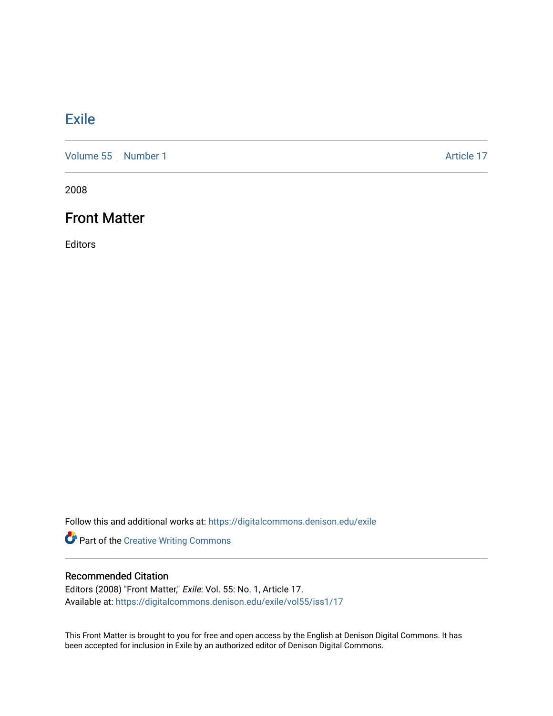### [Exile](https://digitalcommons.denison.edu/exile)

[Volume 55](https://digitalcommons.denison.edu/exile/vol55) [Number 1](https://digitalcommons.denison.edu/exile/vol55/iss1) Article 17

2008

### Front Matter

Editors

Follow this and additional works at: [https://digitalcommons.denison.edu/exile](https://digitalcommons.denison.edu/exile?utm_source=digitalcommons.denison.edu%2Fexile%2Fvol55%2Fiss1%2F17&utm_medium=PDF&utm_campaign=PDFCoverPages) 

Part of the [Creative Writing Commons](http://network.bepress.com/hgg/discipline/574?utm_source=digitalcommons.denison.edu%2Fexile%2Fvol55%2Fiss1%2F17&utm_medium=PDF&utm_campaign=PDFCoverPages) 

### Recommended Citation

Editors (2008) "Front Matter," Exile: Vol. 55: No. 1, Article 17. Available at: [https://digitalcommons.denison.edu/exile/vol55/iss1/17](https://digitalcommons.denison.edu/exile/vol55/iss1/17?utm_source=digitalcommons.denison.edu%2Fexile%2Fvol55%2Fiss1%2F17&utm_medium=PDF&utm_campaign=PDFCoverPages)

This Front Matter is brought to you for free and open access by the English at Denison Digital Commons. It has been accepted for inclusion in Exile by an authorized editor of Denison Digital Commons.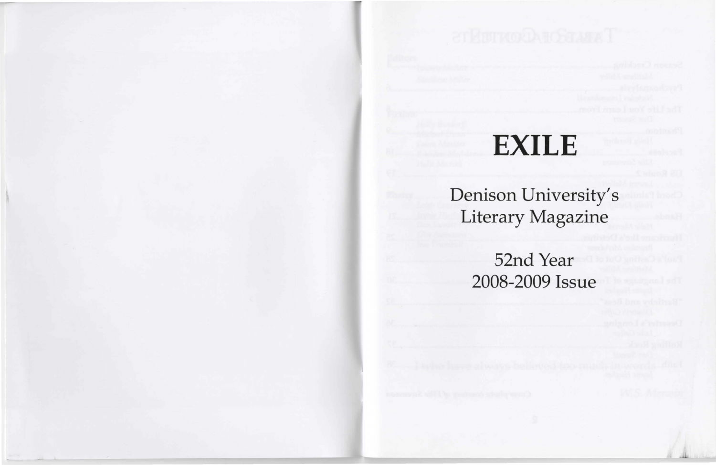# **EXILE**

## Denison University's Literary Magazine

52nd Year 2008-2009 Issue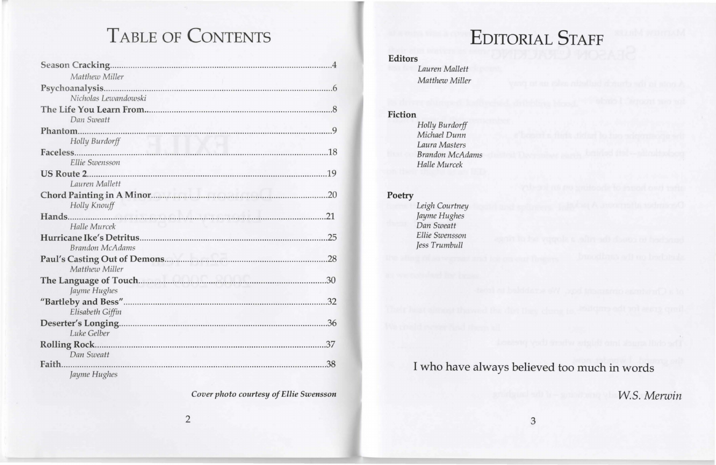# TABLE OF CONTENTS

| Matthew Miller         |     |
|------------------------|-----|
|                        |     |
| Nicholas Lewandowski   |     |
|                        |     |
| Dan Sweatt             |     |
|                        |     |
| Holly Burdorff         |     |
|                        |     |
| Ellie Swensson         |     |
|                        |     |
| Lauren Mallett         |     |
|                        | .20 |
| Holly Knouff           |     |
|                        |     |
| Halle Murcek           |     |
|                        | .25 |
| <b>Brandon McAdams</b> |     |
|                        |     |
| Matthew Miller         |     |
|                        |     |
| Jayme Hughes           |     |
|                        |     |
| Elisabeth Giffin       |     |
|                        |     |
| Luke Gelber            |     |
|                        |     |
| Dan Sweatt             |     |
|                        | .38 |
| Jayme Hughes           |     |

*Cover photo courtesy of Ellie Swensson*